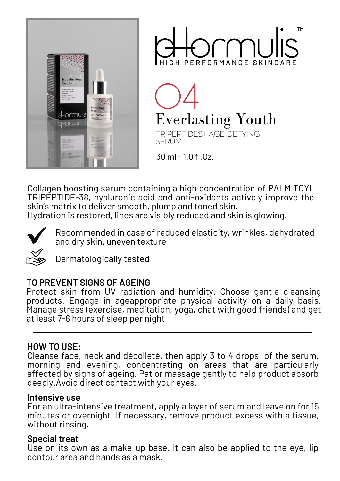



**Everlasting Youth** 

TRIPEPTIDES+ AGE-DEFYING SERUM

30 ml - 1.0 fl.Oz.

Collagen boosting serum containing a high concentration of PALMITOYL TRIPEPTIDE-38, hyaluronic acid and anti-oxidants actively improve the skin's matrix to deliver smooth, plump and toned skin.

Hydration is restored, lines are visibly reduced and skin is glowing.



Recommended in case of reduced elasticity, wrinkles, dehydrated and dry skin, uneven texture

Dermatologically tested

# **TO PREVENT SIGNS OF AGEING**

Protect skin from UV radiation and humidity. Choose gentle cleansing products. Engage in ageappropriate physical activity on a daily basis. Manage stress (exercise, meditation, yoga, chat with good friends) and get at least 7-8 hours of sleep per night

#### **HOW TO USE:**

Cleanse face, neck and décolleté, then apply 3 to 4 drops of the serum, morning and evening, concentrating on areas that are particularly affected by signs of ageing. Pat or massage gently to help product absorb deeply.Avoid direct contact with your eyes.

#### **Intensive use**

For an ultra-intensive treatment, apply a layer of serum and leave on for 15 minutes or overnight. If necessary, remove product excess with a tissue, without rinsing.

# **Special treat**

Use on its own as a make-up base. It can also be applied to the eye, lip contour area and hands as a mask.